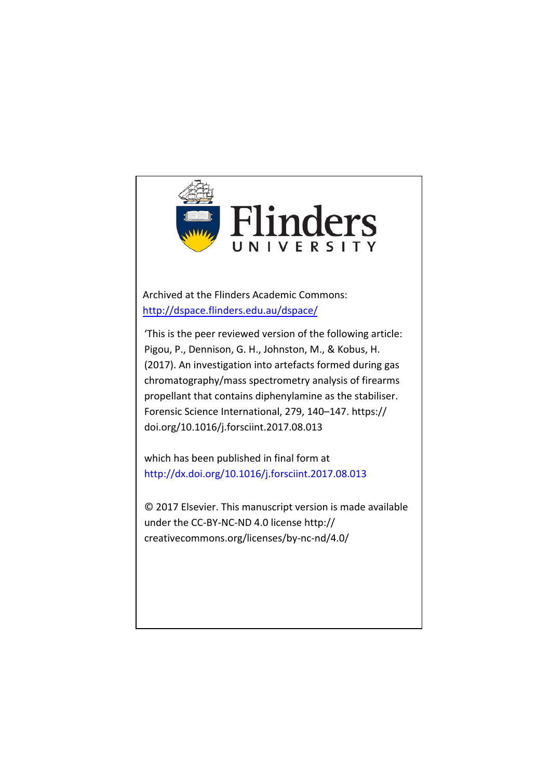

Archived at the Flinders Academic Commons: <http://dspace.flinders.edu.au/dspace/>

'This is the peer reviewed version of the following article: Pigou, P., Dennison, G. H., Johnston, M., & Kobus, H. (2017). An investigation into artefacts formed during gas chromatography/mass spectrometry analysis of firearms propellant that contains diphenylamine as the stabiliser. Forensic Science International, 279, 140–147. https:// doi.org/10.1016/j.forsciint.2017.08.013

which has been published in final form at http://dx.doi.org/10.1016/j.forsciint.2017.08.013

© 2017 Elsevier. This manuscript version is made available under the CC-BY-NC-ND 4.0 license http:// creativecommons.org/licenses/by-nc-nd/4.0/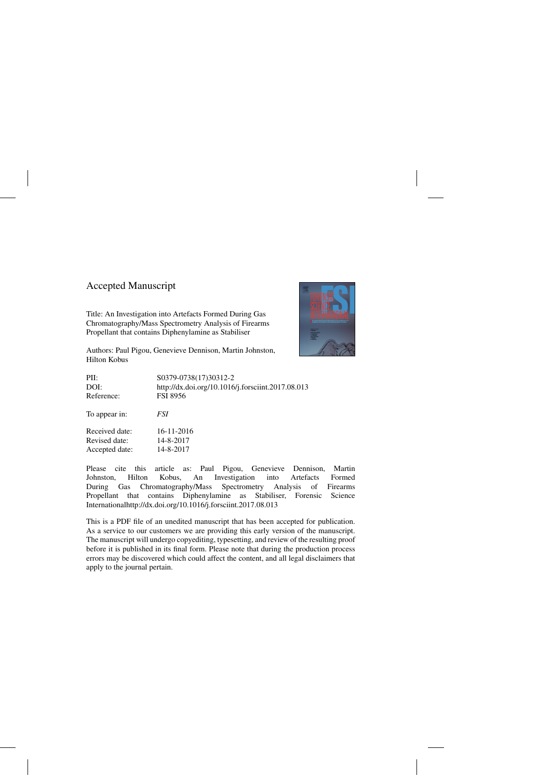# Accepted Manuscript

Title: An Investigation into Artefacts Formed During Gas Chromatography/Mass Spectrometry Analysis of Firearms Propellant that contains Diphenylamine as Stabiliser



Authors: Paul Pigou, Genevieve Dennison, Martin Johnston, Hilton Kobus

| PII:           | S0379-0738(17)30312-2                             |
|----------------|---------------------------------------------------|
| DOI:           | http://dx.doi.org/10.1016/j.forsciint.2017.08.013 |
| Reference:     | <b>FSI 8956</b>                                   |
| To appear in:  | <i>FSI</i>                                        |
| Received date: | 16-11-2016                                        |
| Revised date:  | 14-8-2017                                         |
| Accepted date: | 14-8-2017                                         |
|                |                                                   |

Please cite this article as: Paul Pigou, Genevieve Dennison, Martin Johnston, Hilton Kobus, An Investigation into Artefacts Formed During Gas Chromatography/Mass Spectrometry Analysis of Firearms Propellant that contains Diphenylamine as Stabiliser, Forensic Science Internationa[lhttp://dx.doi.org/10.1016/j.forsciint.2017.08.013](http://dx.doi.org/10.1016/j.forsciint.2017.08.013)

This is a PDF file of an unedited manuscript that has been accepted for publication. As a service to our customers we are providing this early version of the manuscript. The manuscript will undergo copyediting, typesetting, and review of the resulting proof before it is published in its final form. Please note that during the production process errors may be discovered which could affect the content, and all legal disclaimers that apply to the journal pertain.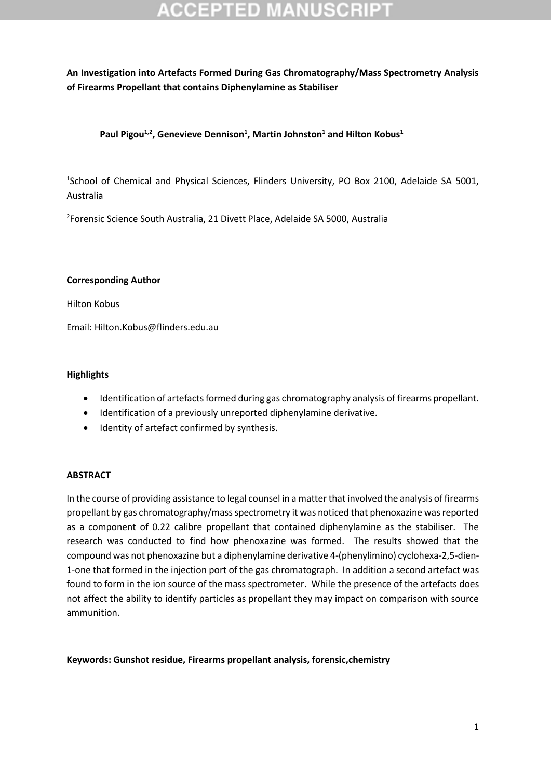# GEPTED

**An Investigation into Artefacts Formed During Gas Chromatography/Mass Spectrometry Analysis of Firearms Propellant that contains Diphenylamine as Stabiliser**

# **Paul Pigou1,2, Genevieve Dennison<sup>1</sup> , Martin Johnston<sup>1</sup> and Hilton Kobus<sup>1</sup>**

<sup>1</sup>School of Chemical and Physical Sciences, Flinders University, PO Box 2100, Adelaide SA 5001, Australia

2 Forensic Science South Australia, 21 Divett Place, Adelaide SA 5000, Australia

## **Corresponding Author**

Hilton Kobus

Email: [Hilton.Kobus@flinders.edu.au](mailto:Hilton.Kobus@flinders.edu.au)

#### **Highlights**

- $\bullet$  Identification of artefacts formed during gas chromatography analysis of firearms propellant.
- Identification of a previously unreported diphenylamine derivative.
- $\bullet$  Identity of artefact confirmed by synthesis.

## **ABSTRACT**

In the course of providing assistance to legal counsel in a matter that involved the analysis of firearms propellant by gas chromatography/mass spectrometry it was noticed that phenoxazine was reported as a component of 0.22 calibre propellant that contained diphenylamine as the stabiliser. The research was conducted to find how phenoxazine was formed. The results showed that the compound was not phenoxazine but a diphenylamine derivative 4-(phenylimino) cyclohexa-2,5-dien-1-one that formed in the injection port of the gas chromatograph. In addition a second artefact was found to form in the ion source of the mass spectrometer. While the presence of the artefacts does not affect the ability to identify particles as propellant they may impact on comparison with source ammunition.

## **Keywords: Gunshot residue, Firearms propellant analysis, forensic,chemistry**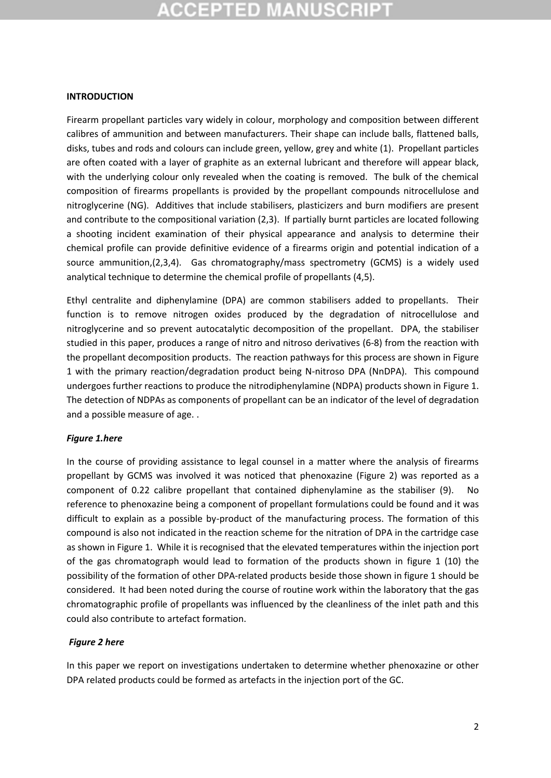# **CCEPTED MANUSCR**

## **INTRODUCTION**

Firearm propellant particles vary widely in colour, morphology and composition between different calibres of ammunition and between manufacturers. Their shape can include balls, flattened balls, disks, tubes and rods and colours can include green, yellow, grey and white (1). Propellant particles are often coated with a layer of graphite as an external lubricant and therefore will appear black, with the underlying colour only revealed when the coating is removed. The bulk of the chemical composition of firearms propellants is provided by the propellant compounds nitrocellulose and nitroglycerine (NG). Additives that include stabilisers, plasticizers and burn modifiers are present and contribute to the compositional variation (2,3). If partially burnt particles are located following a shooting incident examination of their physical appearance and analysis to determine their chemical profile can provide definitive evidence of a firearms origin and potential indication of a source ammunition,(2,3,4). Gas chromatography/mass spectrometry (GCMS) is a widely used analytical technique to determine the chemical profile of propellants (4,5).

Ethyl centralite and diphenylamine (DPA) are common stabilisers added to propellants. Their function is to remove nitrogen oxides produced by the degradation of nitrocellulose and nitroglycerine and so prevent autocatalytic decomposition of the propellant. DPA, the stabiliser studied in this paper, produces a range of nitro and nitroso derivatives (6-8) from the reaction with the propellant decomposition products. The reaction pathways for this process are shown in Figure 1 with the primary reaction/degradation product being N-nitroso DPA (NnDPA). This compound undergoes further reactions to produce the nitrodiphenylamine (NDPA) products shown in Figure 1. The detection of NDPAs as components of propellant can be an indicator of the level of degradation and a possible measure of age. .

## *Figure 1.here*

In the course of providing assistance to legal counsel in a matter where the analysis of firearms propellant by GCMS was involved it was noticed that phenoxazine (Figure 2) was reported as a component of 0.22 calibre propellant that contained diphenylamine as the stabiliser (9). No reference to phenoxazine being a component of propellant formulations could be found and it was difficult to explain as a possible by-product of the manufacturing process. The formation of this compound is also not indicated in the reaction scheme for the nitration of DPA in the cartridge case as shown in Figure 1. While it is recognised that the elevated temperatures within the injection port of the gas chromatograph would lead to formation of the products shown in figure 1 (10) the possibility of the formation of other DPA-related products beside those shown in figure 1 should be considered. It had been noted during the course of routine work within the laboratory that the gas chromatographic profile of propellants was influenced by the cleanliness of the inlet path and this could also contribute to artefact formation.

## *Figure 2 here*

In this paper we report on investigations undertaken to determine whether phenoxazine or other DPA related products could be formed as artefacts in the injection port of the GC.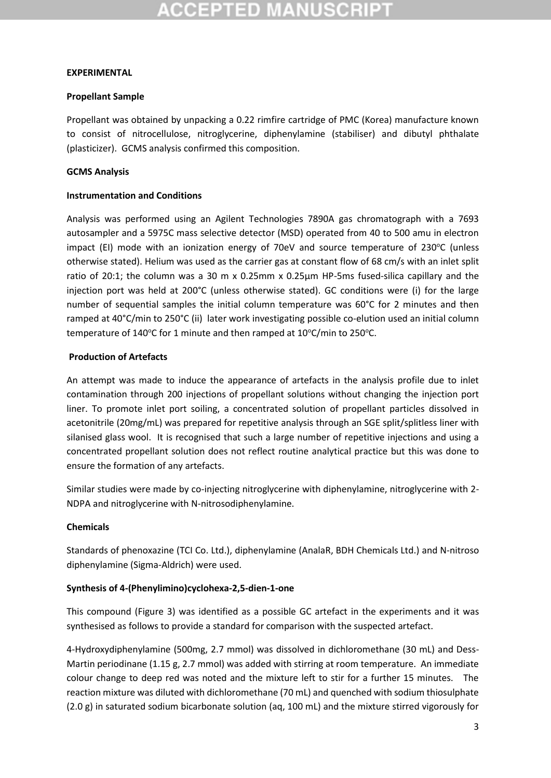# **EXPERIMENTAL**

# **Propellant Sample**

Propellant was obtained by unpacking a 0.22 rimfire cartridge of PMC (Korea) manufacture known to consist of nitrocellulose, nitroglycerine, diphenylamine (stabiliser) and dibutyl phthalate (plasticizer). GCMS analysis confirmed this composition.

# **GCMS Analysis**

# **Instrumentation and Conditions**

Analysis was performed using an Agilent Technologies 7890A gas chromatograph with a 7693 autosampler and a 5975C mass selective detector (MSD) operated from 40 to 500 amu in electron impact (EI) mode with an ionization energy of 70eV and source temperature of  $230^{\circ}$ C (unless otherwise stated). Helium was used as the carrier gas at constant flow of 68 cm/s with an inlet split ratio of 20:1; the column was a 30 m x 0.25mm x 0.25μm HP-5ms fused-silica capillary and the injection port was held at 200°C (unless otherwise stated). GC conditions were (i) for the large number of sequential samples the initial column temperature was 60°C for 2 minutes and then ramped at 40°C/min to 250°C (ii) later work investigating possible co-elution used an initial column temperature of 140°C for 1 minute and then ramped at 10°C/min to 250°C.

# **Production of Artefacts**

An attempt was made to induce the appearance of artefacts in the analysis profile due to inlet contamination through 200 injections of propellant solutions without changing the injection port liner. To promote inlet port soiling, a concentrated solution of propellant particles dissolved in acetonitrile (20mg/mL) was prepared for repetitive analysis through an SGE split/splitless liner with silanised glass wool. It is recognised that such a large number of repetitive injections and using a concentrated propellant solution does not reflect routine analytical practice but this was done to ensure the formation of any artefacts.

Similar studies were made by co-injecting nitroglycerine with diphenylamine, nitroglycerine with 2- NDPA and nitroglycerine with N-nitrosodiphenylamine.

# **Chemicals**

Standards of phenoxazine (TCI Co. Ltd.), diphenylamine (AnalaR, BDH Chemicals Ltd.) and N-nitroso diphenylamine (Sigma-Aldrich) were used.

# **Synthesis of 4-(Phenylimino)cyclohexa-2,5-dien-1-one**

This compound (Figure 3) was identified as a possible GC artefact in the experiments and it was synthesised as follows to provide a standard for comparison with the suspected artefact.

4-Hydroxydiphenylamine (500mg, 2.7 mmol) was dissolved in dichloromethane (30 mL) and Dess-Martin periodinane (1.15 g, 2.7 mmol) was added with stirring at room temperature. An immediate colour change to deep red was noted and the mixture left to stir for a further 15 minutes. The reaction mixture was diluted with dichloromethane (70 mL) and quenched with sodium thiosulphate (2.0 g) in saturated sodium bicarbonate solution (aq, 100 mL) and the mixture stirred vigorously for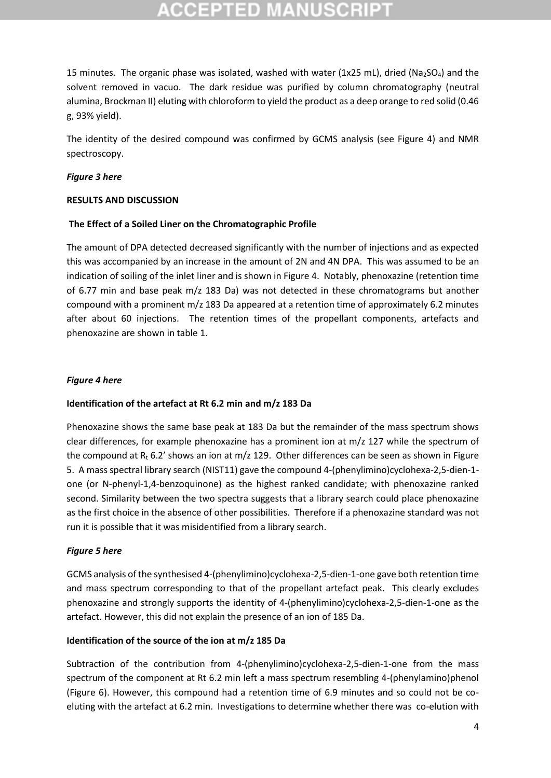# CCEPTED MAI

15 minutes. The organic phase was isolated, washed with water (1x25 mL), dried (Na<sub>2</sub>SO<sub>4</sub>) and the solvent removed in vacuo. The dark residue was purified by column chromatography (neutral alumina, Brockman II) eluting with chloroform to yield the product as a deep orange to red solid (0.46 g, 93% yield).

The identity of the desired compound was confirmed by GCMS analysis (see Figure 4) and NMR spectroscopy.

# *Figure 3 here*

# **RESULTS AND DISCUSSION**

# **The Effect of a Soiled Liner on the Chromatographic Profile**

The amount of DPA detected decreased significantly with the number of injections and as expected this was accompanied by an increase in the amount of 2N and 4N DPA. This was assumed to be an indication of soiling of the inlet liner and is shown in Figure 4. Notably, phenoxazine (retention time of 6.77 min and base peak m/z 183 Da) was not detected in these chromatograms but another compound with a prominent m/z 183 Da appeared at a retention time of approximately 6.2 minutes after about 60 injections. The retention times of the propellant components, artefacts and phenoxazine are shown in table 1.

# *Figure 4 here*

# **Identification of the artefact at Rt 6.2 min and m/z 183 Da**

Phenoxazine shows the same base peak at 183 Da but the remainder of the mass spectrum shows clear differences, for example phenoxazine has a prominent ion at m/z 127 while the spectrum of the compound at  $R_t$  6.2' shows an ion at m/z 129. Other differences can be seen as shown in Figure 5. A mass spectral library search (NIST11) gave the compound 4-(phenylimino)cyclohexa-2,5-dien-1 one (or N-phenyl-1,4-benzoquinone) as the highest ranked candidate; with phenoxazine ranked second. Similarity between the two spectra suggests that a library search could place phenoxazine as the first choice in the absence of other possibilities. Therefore if a phenoxazine standard was not run it is possible that it was misidentified from a library search.

# *Figure 5 here*

GCMS analysis of the synthesised 4-(phenylimino)cyclohexa-2,5-dien-1-one gave both retention time and mass spectrum corresponding to that of the propellant artefact peak. This clearly excludes phenoxazine and strongly supports the identity of 4-(phenylimino)cyclohexa-2,5-dien-1-one as the artefact. However, this did not explain the presence of an ion of 185 Da.

## **Identification of the source of the ion at m/z 185 Da**

Subtraction of the contribution from 4-(phenylimino)cyclohexa-2,5-dien-1-one from the mass spectrum of the component at Rt 6.2 min left a mass spectrum resembling 4-(phenylamino)phenol (Figure 6). However, this compound had a retention time of 6.9 minutes and so could not be coeluting with the artefact at 6.2 min. Investigations to determine whether there was co-elution with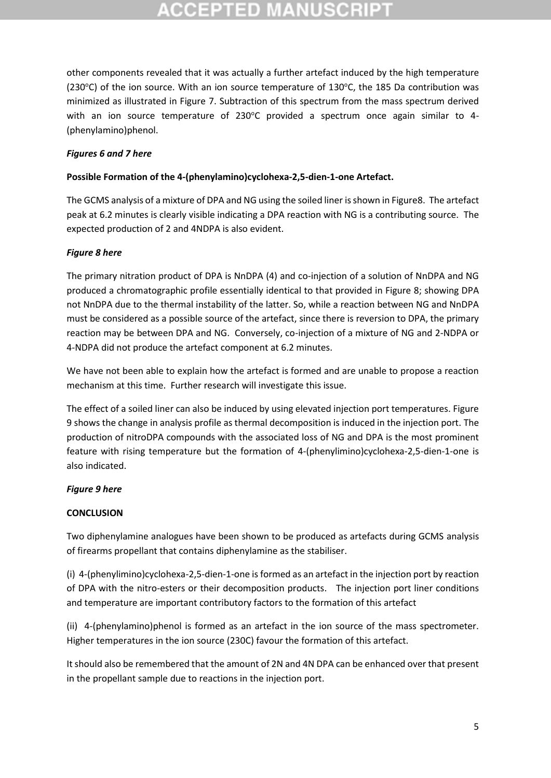# COEPTED MA

other components revealed that it was actually a further artefact induced by the high temperature (230 $^{\circ}$ C) of the ion source. With an ion source temperature of 130 $^{\circ}$ C, the 185 Da contribution was minimized as illustrated in Figure 7. Subtraction of this spectrum from the mass spectrum derived with an ion source temperature of 230°C provided a spectrum once again similar to 4-(phenylamino)phenol.

# *Figures 6 and 7 here*

# **Possible Formation of the 4-(phenylamino)cyclohexa-2,5-dien-1-one Artefact.**

The GCMS analysis of a mixture of DPA and NG using the soiled liner is shown in Figure8. The artefact peak at 6.2 minutes is clearly visible indicating a DPA reaction with NG is a contributing source. The expected production of 2 and 4NDPA is also evident.

# *Figure 8 here*

The primary nitration product of DPA is NnDPA (4) and co-injection of a solution of NnDPA and NG produced a chromatographic profile essentially identical to that provided in Figure 8; showing DPA not NnDPA due to the thermal instability of the latter. So, while a reaction between NG and NnDPA must be considered as a possible source of the artefact, since there is reversion to DPA, the primary reaction may be between DPA and NG. Conversely, co-injection of a mixture of NG and 2-NDPA or 4-NDPA did not produce the artefact component at 6.2 minutes.

We have not been able to explain how the artefact is formed and are unable to propose a reaction mechanism at this time. Further research will investigate this issue.

The effect of a soiled liner can also be induced by using elevated injection port temperatures. Figure 9 shows the change in analysis profile as thermal decomposition is induced in the injection port. The production of nitroDPA compounds with the associated loss of NG and DPA is the most prominent feature with rising temperature but the formation of 4-(phenylimino)cyclohexa-2,5-dien-1-one is also indicated.

## *Figure 9 here*

# **CONCLUSION**

Two diphenylamine analogues have been shown to be produced as artefacts during GCMS analysis of firearms propellant that contains diphenylamine as the stabiliser.

(i) 4-(phenylimino)cyclohexa-2,5-dien-1-one is formed as an artefact in the injection port by reaction of DPA with the nitro-esters or their decomposition products. The injection port liner conditions and temperature are important contributory factors to the formation of this artefact

(ii) 4-(phenylamino)phenol is formed as an artefact in the ion source of the mass spectrometer. Higher temperatures in the ion source (230C) favour the formation of this artefact.

It should also be remembered that the amount of 2N and 4N DPA can be enhanced over that present in the propellant sample due to reactions in the injection port.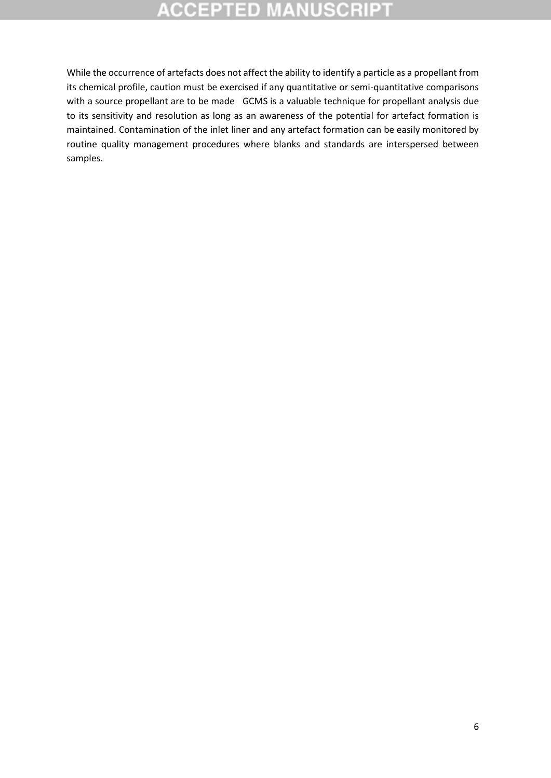# **CCEPTED MANUSCRIPT**

While the occurrence of artefacts does not affect the ability to identify a particle as a propellant from its chemical profile, caution must be exercised if any quantitative or semi-quantitative comparisons with a source propellant are to be made GCMS is a valuable technique for propellant analysis due to its sensitivity and resolution as long as an awareness of the potential for artefact formation is maintained. Contamination of the inlet liner and any artefact formation can be easily monitored by routine quality management procedures where blanks and standards are interspersed between samples.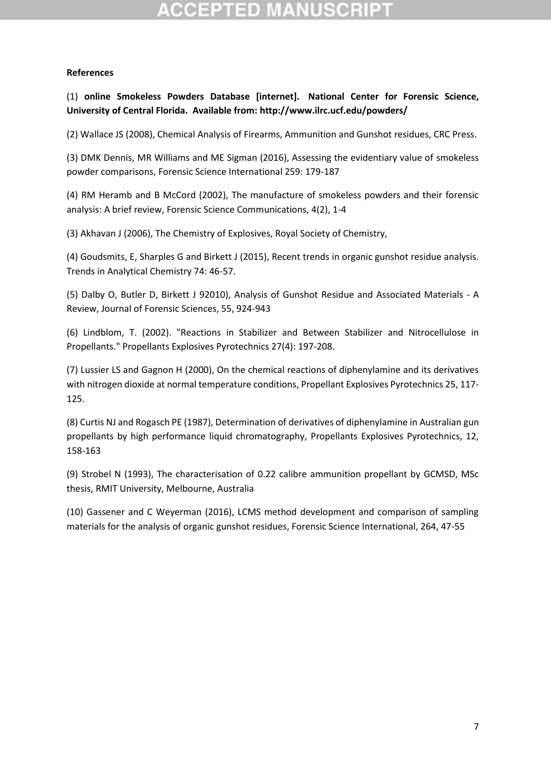# **References**

(1) **online Smokeless Powders Database [internet]. National Center for Forensic Science, University of Central Florida. Available from[: http://www.ilrc.ucf.edu/powders/](http://www.ilrc.ucf.edu/powders/)**

(2) Wallace JS (2008), Chemical Analysis of Firearms, Ammunition and Gunshot residues, CRC Press.

(3) DMK Dennis, MR Williams and ME Sigman (2016), Assessing the evidentiary value of smokeless powder comparisons, Forensic Science International 259: 179-187

(4) RM Heramb and B McCord (2002), The manufacture of smokeless powders and their forensic analysis: A brief review, Forensic Science Communications, 4(2), 1-4

(3) Akhavan J (2006), The Chemistry of Explosives, Royal Society of Chemistry,

(4) Goudsmits, E, Sharples G and Birkett J (2015), Recent trends in organic gunshot residue analysis. Trends in Analytical Chemistry 74: 46-57.

(5) Dalby O, Butler D, Birkett J 92010), Analysis of Gunshot Residue and Associated Materials - A Review, Journal of Forensic Sciences, 55, 924-943

(6) Lindblom, T. (2002). "Reactions in Stabilizer and Between Stabilizer and Nitrocellulose in Propellants." Propellants Explosives Pyrotechnics 27(4): 197-208.

(7) Lussier LS and Gagnon H (2000), On the chemical reactions of diphenylamine and its derivatives with nitrogen dioxide at normal temperature conditions, Propellant Explosives Pyrotechnics 25, 117-125.

(8) Curtis NJ and Rogasch PE (1987), Determination of derivatives of diphenylamine in Australian gun propellants by high performance liquid chromatography, Propellants Explosives Pyrotechnics, 12, 158-163

(9) Strobel N (1993), The characterisation of 0.22 calibre ammunition propellant by GCMSD, MSc thesis, RMIT University, Melbourne, Australia

(10) Gassener and C Weyerman (2016), LCMS method development and comparison of sampling materials for the analysis of organic gunshot residues, Forensic Science International, 264, 47-55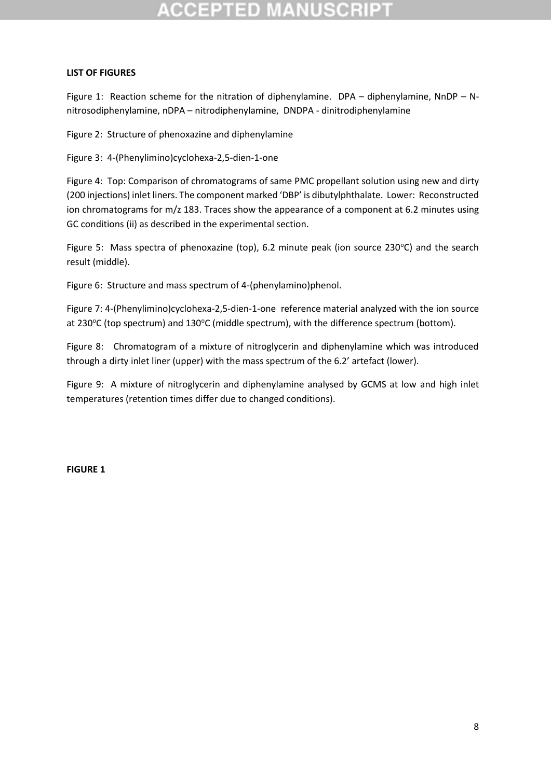# CCEPTED

# **LIST OF FIGURES**

Figure 1: Reaction scheme for the nitration of diphenylamine.  $DPA - diphenylamine$ ,  $NnDP - N$ nitrosodiphenylamine, nDPA – nitrodiphenylamine, DNDPA - dinitrodiphenylamine

Figure 2: Structure of phenoxazine and diphenylamine

Figure 3: 4-(Phenylimino)cyclohexa-2,5-dien-1-one

Figure 4: Top: Comparison of chromatograms of same PMC propellant solution using new and dirty (200 injections) inlet liners. The component marked 'DBP' is dibutylphthalate. Lower: Reconstructed ion chromatograms for m/z 183. Traces show the appearance of a component at 6.2 minutes using GC conditions (ii) as described in the experimental section.

Figure 5: Mass spectra of phenoxazine (top), 6.2 minute peak (ion source  $230^{\circ}$ C) and the search result (middle).

Figure 6: Structure and mass spectrum of 4-(phenylamino)phenol.

Figure 7: 4-(Phenylimino)cyclohexa-2,5-dien-1-one reference material analyzed with the ion source at 230°C (top spectrum) and 130°C (middle spectrum), with the difference spectrum (bottom).

Figure 8: Chromatogram of a mixture of nitroglycerin and diphenylamine which was introduced through a dirty inlet liner (upper) with the mass spectrum of the 6.2' artefact (lower).

Figure 9: A mixture of nitroglycerin and diphenylamine analysed by GCMS at low and high inlet temperatures (retention times differ due to changed conditions).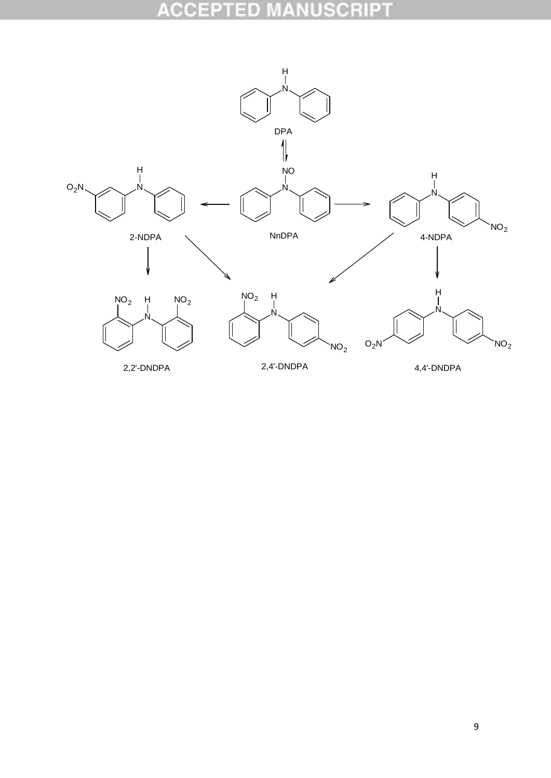#### **ACCEPTED MAI NUSCRIPT**

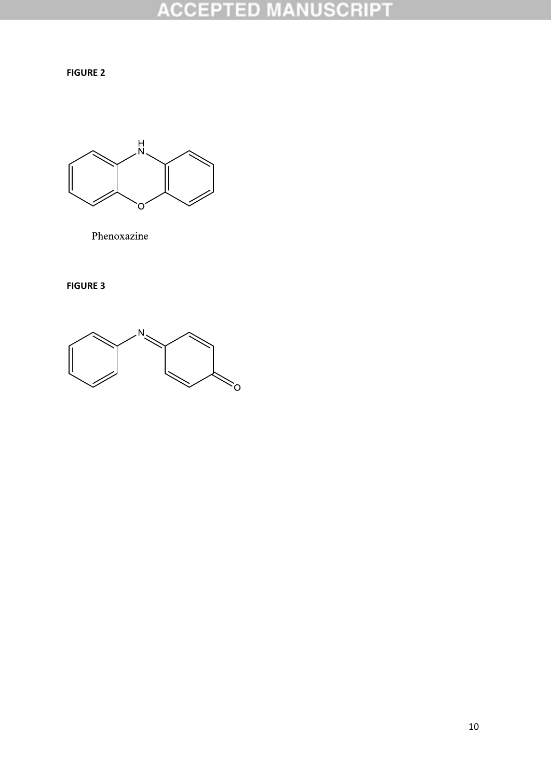# **ACCEPTED MANUSCRIPT**

**FIGURE 2**



Phenoxazine

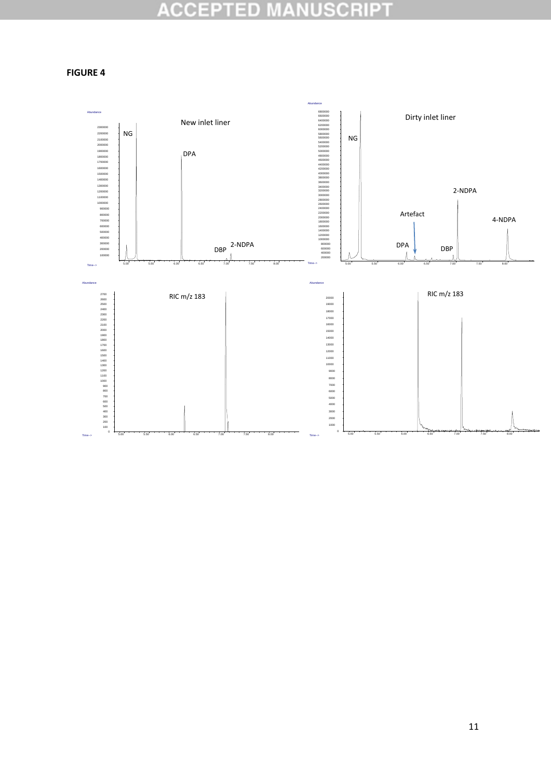# **ACCEPTED MANUSCRIPT**

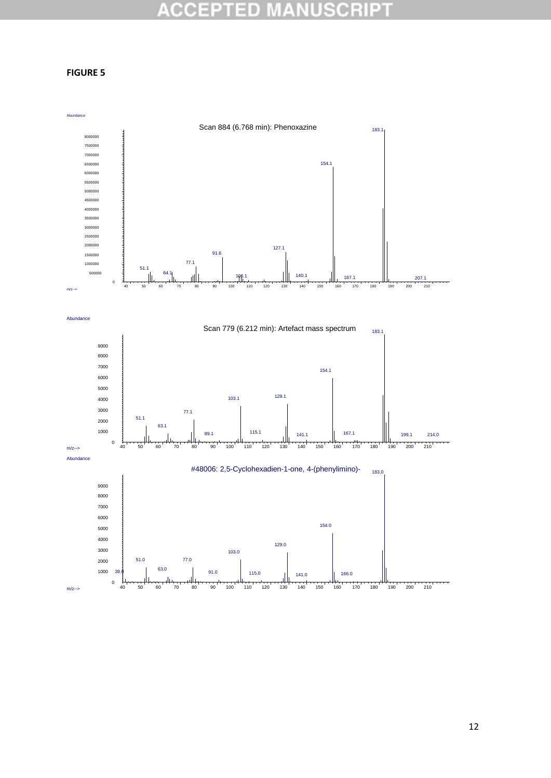#### O O D O

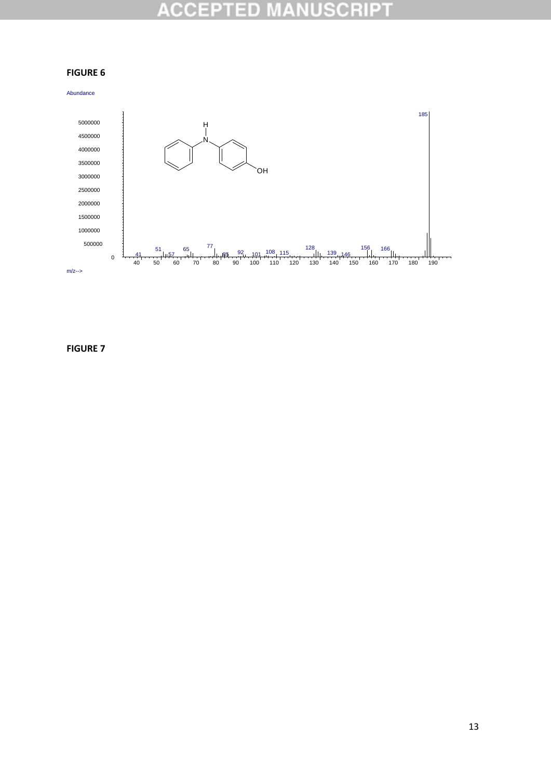#### $CR$ ID P CC j.

#### **FIGURE 6**

Abundance

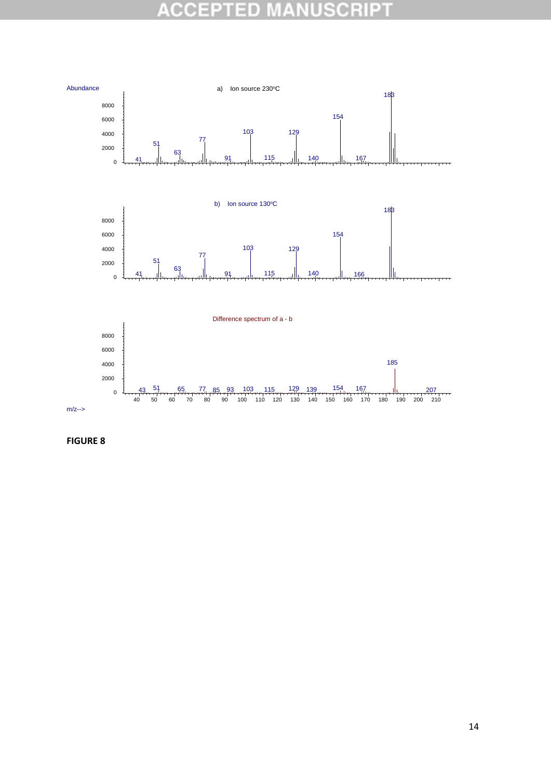#### × eto D E à c



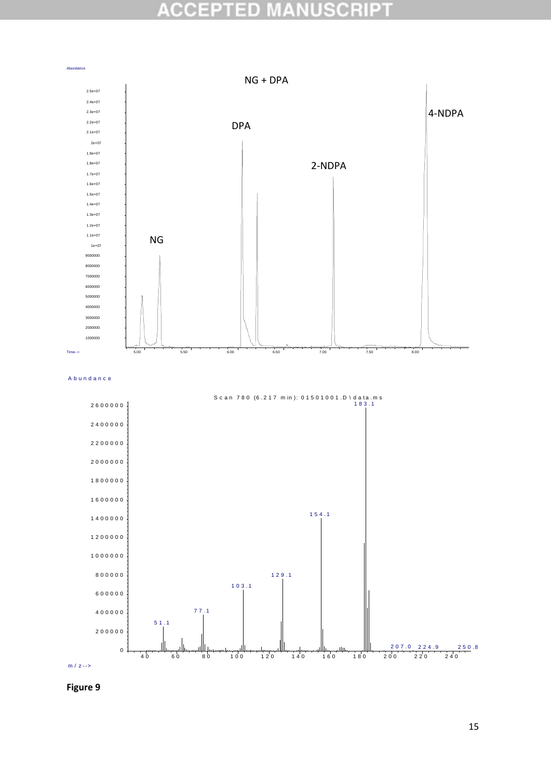#### **ACCEPTED NUSCRIPT** IM 4



**Figure 9**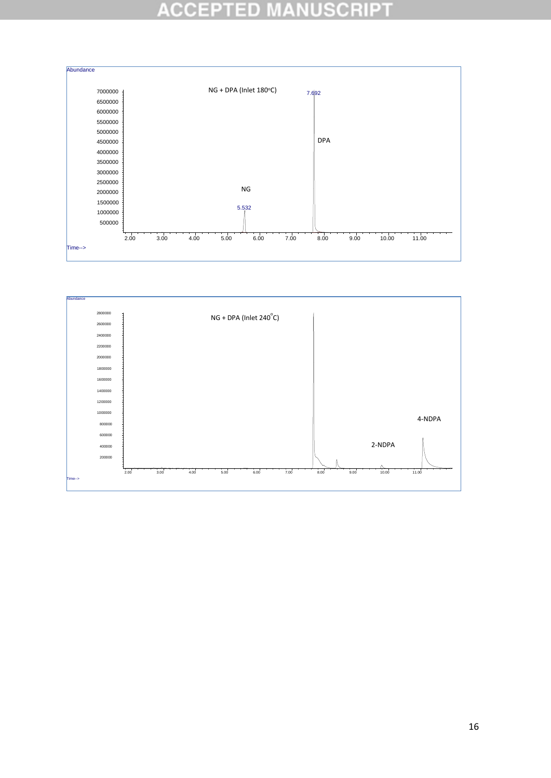#### ED **NUSCRIPT ACCE** PT M ä,